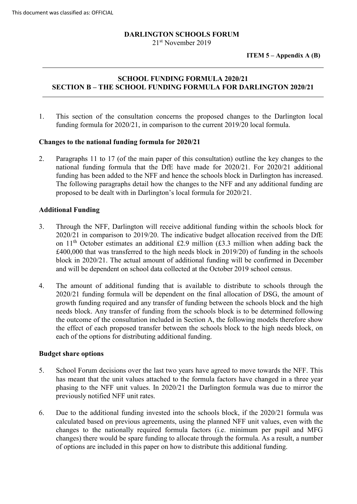# **DARLINGTON SCHOOLS FORUM**

21<sup>st</sup> November 2019

**ITEM 5 – Appendix A (B)**

# **SCHOOL FUNDING FORMULA 2020/21 SECTION B – THE SCHOOL FUNDING FORMULA FOR DARLINGTON 2020/21**

1. This section of the consultation concerns the proposed changes to the Darlington local funding formula for 2020/21, in comparison to the current 2019/20 local formula.

### **Changes to the national funding formula for 2020/21**

2. Paragraphs 11 to 17 (of the main paper of this consultation) outline the key changes to the national funding formula that the DfE have made for 2020/21. For 2020/21 additional funding has been added to the NFF and hence the schools block in Darlington has increased. The following paragraphs detail how the changes to the NFF and any additional funding are proposed to be dealt with in Darlington's local formula for 2020/21.

# **Additional Funding**

- 3. Through the NFF, Darlington will receive additional funding within the schools block for 2020/21 in comparison to 2019/20. The indicative budget allocation received from the DfE on  $11<sup>th</sup>$  October estimates an additional £2.9 million (£3.3 million when adding back the £400,000 that was transferred to the high needs block in 2019/20) of funding in the schools block in 2020/21. The actual amount of additional funding will be confirmed in December and will be dependent on school data collected at the October 2019 school census.
- 4. The amount of additional funding that is available to distribute to schools through the 2020/21 funding formula will be dependent on the final allocation of DSG, the amount of growth funding required and any transfer of funding between the schools block and the high needs block. Any transfer of funding from the schools block is to be determined following the outcome of the consultation included in Section A, the following models therefore show the effect of each proposed transfer between the schools block to the high needs block, on each of the options for distributing additional funding.

### **Budget share options**

- 5. School Forum decisions over the last two years have agreed to move towards the NFF. This has meant that the unit values attached to the formula factors have changed in a three year phasing to the NFF unit values. In 2020/21 the Darlington formula was due to mirror the previously notified NFF unit rates.
- 6. Due to the additional funding invested into the schools block, if the 2020/21 formula was calculated based on previous agreements, using the planned NFF unit values, even with the changes to the nationally required formula factors (i.e. minimum per pupil and MFG changes) there would be spare funding to allocate through the formula. As a result, a number of options are included in this paper on how to distribute this additional funding.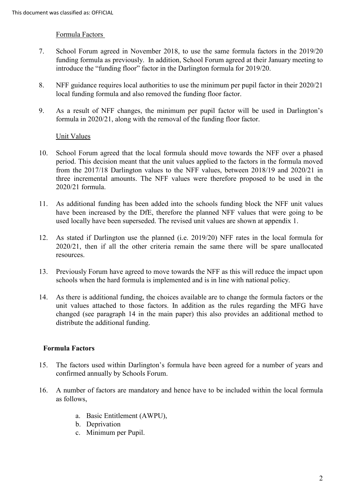#### Formula Factors

- 7. School Forum agreed in November 2018, to use the same formula factors in the 2019/20 funding formula as previously. In addition, School Forum agreed at their January meeting to introduce the "funding floor" factor in the Darlington formula for 2019/20.
- 8. NFF guidance requires local authorities to use the minimum per pupil factor in their 2020/21 local funding formula and also removed the funding floor factor.
- 9. As a result of NFF changes, the minimum per pupil factor will be used in Darlington's formula in 2020/21, along with the removal of the funding floor factor.

### Unit Values

- 10. School Forum agreed that the local formula should move towards the NFF over a phased period. This decision meant that the unit values applied to the factors in the formula moved from the 2017/18 Darlington values to the NFF values, between 2018/19 and 2020/21 in three incremental amounts. The NFF values were therefore proposed to be used in the 2020/21 formula.
- 11. As additional funding has been added into the schools funding block the NFF unit values have been increased by the DfE, therefore the planned NFF values that were going to be used locally have been superseded. The revised unit values are shown at appendix 1.
- 12. As stated if Darlington use the planned (i.e. 2019/20) NFF rates in the local formula for 2020/21, then if all the other criteria remain the same there will be spare unallocated resources.
- 13. Previously Forum have agreed to move towards the NFF as this will reduce the impact upon schools when the hard formula is implemented and is in line with national policy.
- 14. As there is additional funding, the choices available are to change the formula factors or the unit values attached to those factors. In addition as the rules regarding the MFG have changed (see paragraph 14 in the main paper) this also provides an additional method to distribute the additional funding.

### **Formula Factors**

- 15. The factors used within Darlington's formula have been agreed for a number of years and confirmed annually by Schools Forum.
- 16. A number of factors are mandatory and hence have to be included within the local formula as follows,
	- a. Basic Entitlement (AWPU),
	- b. Deprivation
	- c. Minimum per Pupil.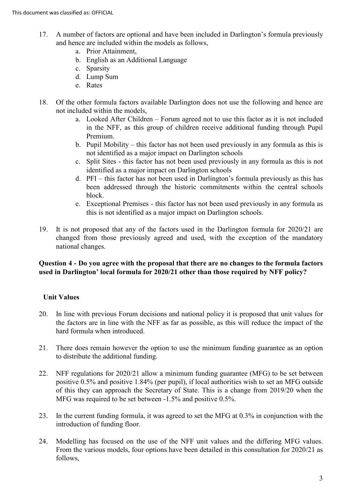- 17. A number of factors are optional and have been included in Darlington's formula previously and hence are included within the models as follows,
	- a. Prior Attainment,
	- b. English as an Additional Language
	- c. Sparsity
	- d. Lump Sum
	- e. Rates
- 18. Of the other formula factors available Darlington does not use the following and hence are not included within the models,
	- a. Looked After Children Forum agreed not to use this factor as it is not included in the NFF, as this group of children receive additional funding through Pupil Premium.
	- b. Pupil Mobility this factor has not been used previously in any formula as this is not identified as a major impact on Darlington schools
	- c. Split Sites this factor has not been used previously in any formula as this is not identified as a major impact on Darlington schools
	- d. PFI this factor has not been used in Darlington's formula previously as this has been addressed through the historic commitments within the central schools block.
	- e. Exceptional Premises this factor has not been used previously in any formula as this is not identified as a major impact on Darlington schools.
- 19. It is not proposed that any of the factors used in the Darlington formula for 2020/21 are changed from those previously agreed and used, with the exception of the mandatory national changes.

# **Question 4 - Do you agree with the proposal that there are no changes to the formula factors used in Darlington' local formula for 2020/21 other than those required by NFF policy?**

# **Unit Values**

- 20. In line with previous Forum decisions and national policy it is proposed that unit values for the factors are in line with the NFF as far as possible, as this will reduce the impact of the hard formula when introduced.
- 21. There does remain however the option to use the minimum funding guarantee as an option to distribute the additional funding.
- 22. NFF regulations for 2020/21 allow a minimum funding guarantee (MFG) to be set between positive 0.5% and positive 1.84% (per pupil), if local authorities wish to set an MFG outside of this they can approach the Secretary of State. This is a change from 2019/20 when the MFG was required to be set between -1.5% and positive 0.5%.
- 23. In the current funding formula, it was agreed to set the MFG at 0.3% in conjunction with the introduction of funding floor.
- 24. Modelling has focused on the use of the NFF unit values and the differing MFG values. From the various models, four options have been detailed in this consultation for 2020/21 as follows,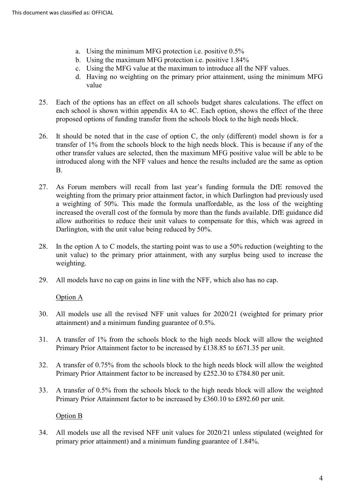- a. Using the minimum MFG protection i.e. positive 0.5%
- b. Using the maximum MFG protection i.e. positive 1.84%
- c. Using the MFG value at the maximum to introduce all the NFF values.
- d. Having no weighting on the primary prior attainment, using the minimum MFG value
- 25. Each of the options has an effect on all schools budget shares calculations. The effect on each school is shown within appendix 4A to 4C. Each option, shows the effect of the three proposed options of funding transfer from the schools block to the high needs block.
- 26. It should be noted that in the case of option C, the only (different) model shown is for a transfer of 1% from the schools block to the high needs block. This is because if any of the other transfer values are selected, then the maximum MFG positive value will be able to be introduced along with the NFF values and hence the results included are the same as option B.
- 27. As Forum members will recall from last year's funding formula the DfE removed the weighting from the primary prior attainment factor, in which Darlington had previously used a weighting of 50%. This made the formula unaffordable, as the loss of the weighting increased the overall cost of the formula by more than the funds available. DfE guidance did allow authorities to reduce their unit values to compensate for this, which was agreed in Darlington, with the unit value being reduced by 50%.
- 28. In the option A to C models, the starting point was to use a 50% reduction (weighting to the unit value) to the primary prior attainment, with any surplus being used to increase the weighting.
- 29. All models have no cap on gains in line with the NFF, which also has no cap.

### Option A

- 30. All models use all the revised NFF unit values for 2020/21 (weighted for primary prior attainment) and a minimum funding guarantee of 0.5%.
- 31. A transfer of 1% from the schools block to the high needs block will allow the weighted Primary Prior Attainment factor to be increased by £138.85 to £671.35 per unit.
- 32. A transfer of 0.75% from the schools block to the high needs block will allow the weighted Primary Prior Attainment factor to be increased by £252.30 to £784.80 per unit.
- 33. A transfer of 0.5% from the schools block to the high needs block will allow the weighted Primary Prior Attainment factor to be increased by £360.10 to £892.60 per unit.

# Option B

34. All models use all the revised NFF unit values for 2020/21 unless stipulated (weighted for primary prior attainment) and a minimum funding guarantee of 1.84%.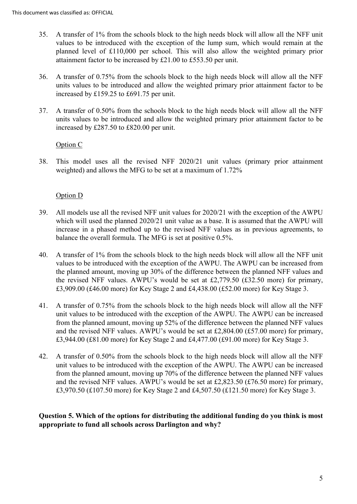- 35. A transfer of 1% from the schools block to the high needs block will allow all the NFF unit values to be introduced with the exception of the lump sum, which would remain at the planned level of £110,000 per school. This will also allow the weighted primary prior attainment factor to be increased by £21.00 to £553.50 per unit.
- 36. A transfer of 0.75% from the schools block to the high needs block will allow all the NFF units values to be introduced and allow the weighted primary prior attainment factor to be increased by £159.25 to £691.75 per unit.
- 37. A transfer of 0.50% from the schools block to the high needs block will allow all the NFF units values to be introduced and allow the weighted primary prior attainment factor to be increased by £287.50 to £820.00 per unit.

### Option C

38. This model uses all the revised NFF 2020/21 unit values (primary prior attainment weighted) and allows the MFG to be set at a maximum of 1.72%

# Option D

- 39. All models use all the revised NFF unit values for 2020/21 with the exception of the AWPU which will used the planned 2020/21 unit value as a base. It is assumed that the AWPU will increase in a phased method up to the revised NFF values as in previous agreements, to balance the overall formula. The MFG is set at positive 0.5%.
- 40. A transfer of 1% from the schools block to the high needs block will allow all the NFF unit values to be introduced with the exception of the AWPU. The AWPU can be increased from the planned amount, moving up 30% of the difference between the planned NFF values and the revised NFF values. AWPU's would be set at £2,779.50 (£32.50 more) for primary, £3,909.00 (£46.00 more) for Key Stage 2 and £4,438.00 (£52.00 more) for Key Stage 3.
- 41. A transfer of 0.75% from the schools block to the high needs block will allow all the NFF unit values to be introduced with the exception of the AWPU. The AWPU can be increased from the planned amount, moving up 52% of the difference between the planned NFF values and the revised NFF values. AWPU's would be set at £2,804.00 (£57.00 more) for primary, £3,944.00 (£81.00 more) for Key Stage 2 and £4,477.00 (£91.00 more) for Key Stage 3.
- 42. A transfer of 0.50% from the schools block to the high needs block will allow all the NFF unit values to be introduced with the exception of the AWPU. The AWPU can be increased from the planned amount, moving up 70% of the difference between the planned NFF values and the revised NFF values. AWPU's would be set at £2,823.50 (£76.50 more) for primary, £3,970.50 (£107.50 more) for Key Stage 2 and £4,507.50 (£121.50 more) for Key Stage 3.

**Question 5. Which of the options for distributing the additional funding do you think is most appropriate to fund all schools across Darlington and why?**